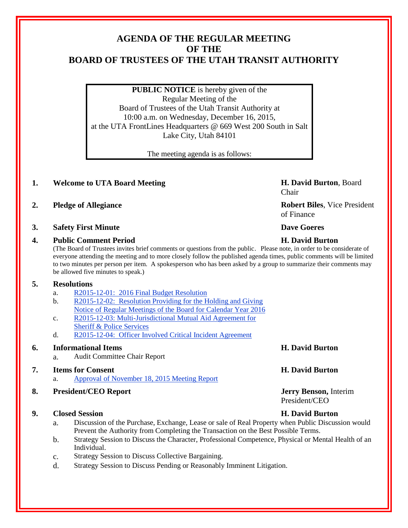# **AGENDA OF THE REGULAR MEETING OF THE BOARD OF TRUSTEES OF THE UTAH TRANSIT AUTHORITY**

**PUBLIC NOTICE** is hereby given of the Regular Meeting of the Board of Trustees of the Utah Transit Authority at 10:00 a.m. on Wednesday, December 16, 2015, at the UTA FrontLines Headquarters @ 669 West 200 South in Salt Lake City, Utah 84101

The meeting agenda is as follows:

# **1. Welcome to UTA Board Meeting H. David Burton**, Board

- 
- **3. Safety First Minute Dave Goeres**

### **4. Public Comment Period H. David Burton**

(The Board of Trustees invites brief comments or questions from the public. Please note, in order to be considerate of everyone attending the meeting and to more closely follow the published agenda times, public comments will be limited to two minutes per person per item. A spokesperson who has been asked by a group to summarize their comments may be allowed five minutes to speak.)

# **5. Resolutions**

- a. R2015-12-01: 2016 Final Budget Resolution
- b. R2015-12-02: Resolution Providing for the Holding and Giving Notice of Regular Meetings of the Board for Calendar Year 2016
- c. R2015-12-03: Multi-Jurisdictional Mutual Aid Agreement for Sheriff & Police Services
- d. R2015-12-04: Officer Involved Critical Incident Agreement

# **6. Informational Items H. David Burton**

a. Audit Committee Chair Report

# **7. Items for Consent H. David Burton**

a. Approval of November 18, 2015 Meeting Report

# **8. President/CEO Report Jerry Benson,** Interim

### **9. Closed Session H. David Burton**

- a. Discussion of the Purchase, Exchange, Lease or sale of Real Property when Public Discussion would Prevent the Authority from Completing the Transaction on the Best Possible Terms.
- b. Strategy Session to Discuss the Character, Professional Competence, Physical or Mental Health of an Individual.
- c. Strategy Session to Discuss Collective Bargaining.
- d. Strategy Session to Discuss Pending or Reasonably Imminent Litigation.

Chair

**2. Pledge of Allegiance Robert Biles**, Vice President of Finance

President/CEO